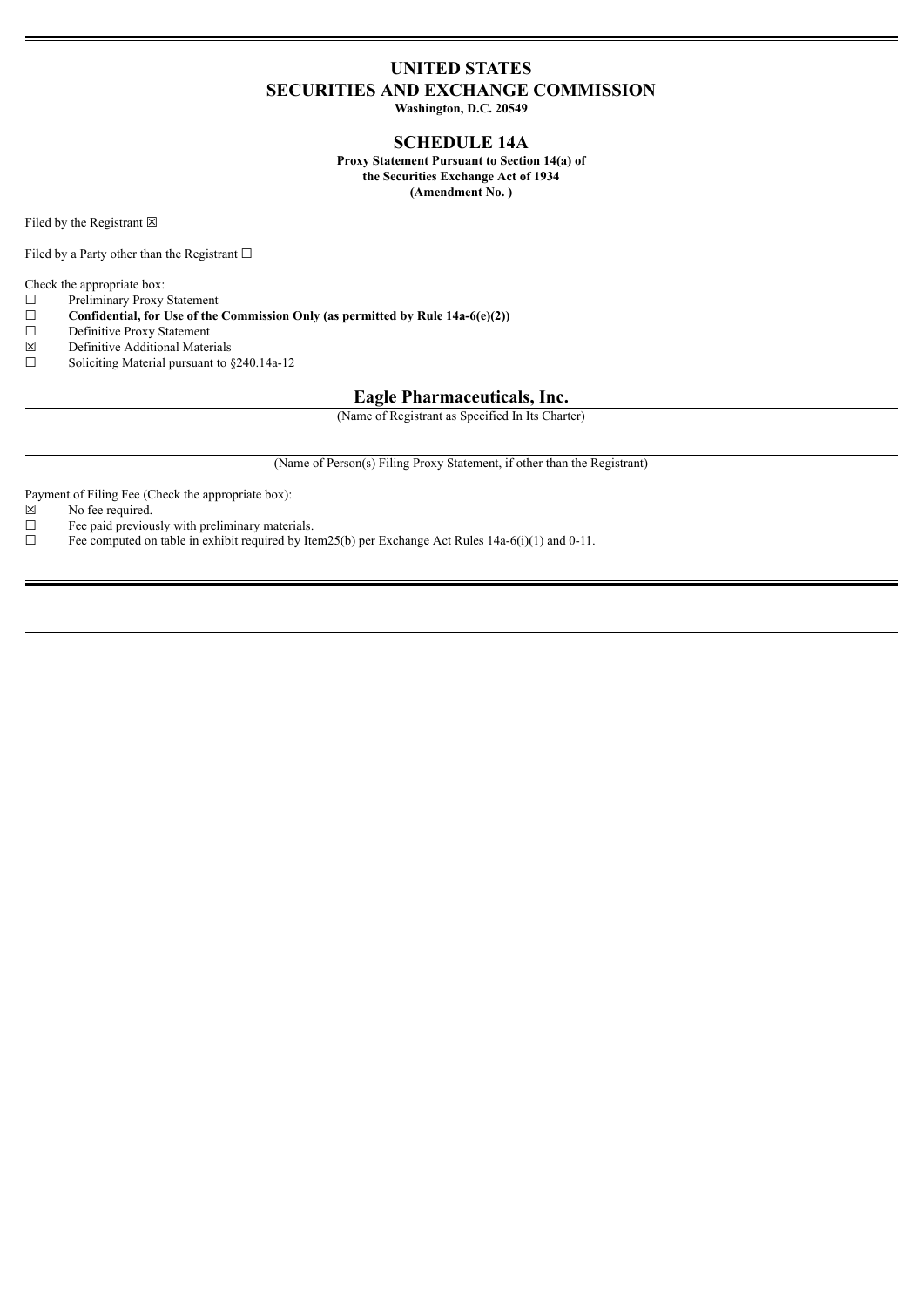## **UNITED STATES SECURITIES AND EXCHANGE COMMISSION**

**Washington, D.C. 20549**

#### **SCHEDULE 14A**

**Proxy Statement Pursuant to Section 14(a) of the Securities Exchange Act of 1934 (Amendment No. )**

Filed by the Registrant  $\boxtimes$ 

Filed by a Party other than the Registrant  $□$ 

Check the appropriate box:

- $\Box$  Preliminary Proxy Statement<br> $\Box$  Confidential, for Use of the
- ☐ **Confidential, for Use of the Commission Only (as permitted by Rule 14a-6(e)(2))**
- Definitive Proxy Statement
- $\boxtimes$  Definitive Additional Materials<br>
Soliciting Material pursuant to 8
- Soliciting Material pursuant to §240.14a-12

#### **Eagle Pharmaceuticals, Inc.**

(Name of Registrant as Specified In Its Charter)

(Name of Person(s) Filing Proxy Statement, if other than the Registrant)

Payment of Filing Fee (Check the appropriate box):

- $\boxtimes$  No fee required.<br>  $\Box$  Fee paid previous
- $\Box$  Fee paid previously with preliminary materials.<br> $\Box$  Fee computed on table in exhibit required by Ite
- Fee computed on table in exhibit required by Item25(b) per Exchange Act Rules 14a-6(i)(1) and 0-11.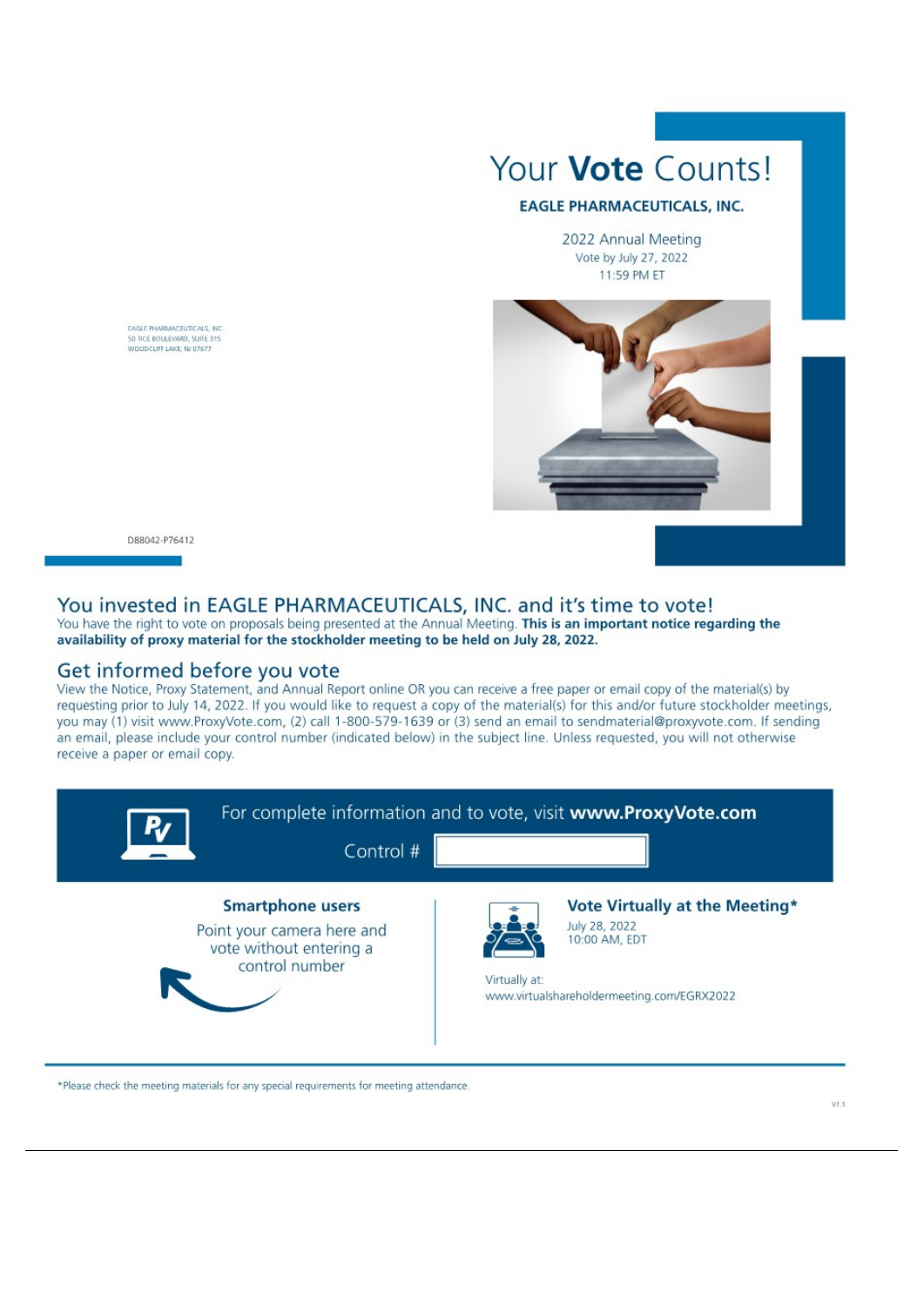# Your **Vote** Counts!

#### **EAGLE PHARMACEUTICALS, INC.**

2022 Annual Meeting Vote by July 27, 2022 11:59 PM ET



EAGLE PHARMACEUTICALS, INC. SO TICE BOULEVARD, SUITE 315<br>WOODCLIFF LAKE, NJ 07677

D88042-P76412

#### You invested in EAGLE PHARMACEUTICALS, INC. and it's time to vote! You have the right to vote on proposals being presented at the Annual Meeting. This is an important notice regarding the

availability of proxy material for the stockholder meeting to be held on July 28, 2022.

### Get informed before you vote

View the Notice, Proxy Statement, and Annual Report online OR you can receive a free paper or email copy of the material(s) by requesting prior to July 14, 2022. If you would like to request a copy of the material(s) for this and/or future stockholder meetings, you may (1) visit www.ProxyVote.com, (2) call 1-800-579-1639 or (3) send an email to sendmaterial@proxyvote.com. If sending an email, please include your control number (indicated below) in the subject line. Unless requested, you will not otherwise receive a paper or email copy.



\*Please check the meeting materials for any special requirements for meeting attendance.